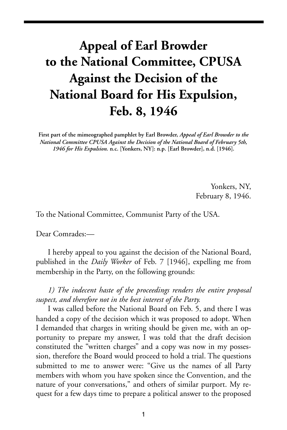## **Appeal of Earl Browder to the National Committee, CPUSA Against the Decision of the National Board for His Expulsion, Feb. 8, 1946**

**First part of the mimeographed pamphlet by Earl Browder,** *Appeal of Earl Browder to the National Committee CPUSA Against the Decision of the National Board of February 5th, 1946 for His Expulsion.* **n.c. [Yonkers, NY]: n.p. [Earl Browder], n.d. [1946].**

> Yonkers, NY, February 8, 1946.

To the National Committee, Communist Party of the USA.

Dear Comrades:—

I hereby appeal to you against the decision of the National Board, published in the *Daily Worker* of Feb. 7 [1946], expelling me from membership in the Party, on the following grounds:

*1) The indecent haste of the proceedings renders the entire proposal suspect, and therefore not in the best interest of the Party.*

I was called before the National Board on Feb. 5, and there I was handed a copy of the decision which it was proposed to adopt. When I demanded that charges in writing should be given me, with an opportunity to prepare my answer, I was told that the draft decision constituted the "written charges" and a copy was now in my possession, therefore the Board would proceed to hold a trial. The questions submitted to me to answer were: "Give us the names of all Party members with whom you have spoken since the Convention, and the nature of your conversations," and others of similar purport. My request for a few days time to prepare a political answer to the proposed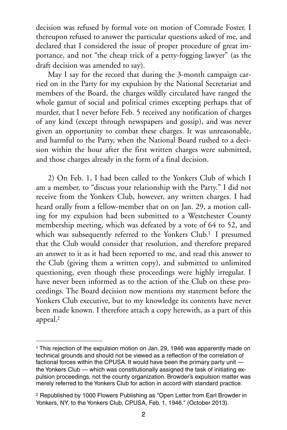decision was refused by formal vote on motion of Comrade Foster. I thereupon refused to answer the particular questions asked of me, and declared that I considered the issue of proper procedure of great importance, and not "the cheap trick of a petty-fogging lawyer" (as the draft decision was amended to say).

May I say for the record that during the 3-month campaign carried on in the Party for my expulsion by the National Secretariat and members of the Board, the charges wildly circulated have ranged the whole gamut of social and political crimes excepting perhaps that of murder, that I never before Feb. 5 received any notification of charges of any kind (except through newspapers and gossip), and was never given an opportunity to combat these charges. It was unreasonable, and harmful to the Party, when the National Board rushed to a decision within the hour after the first written charges were submitted, and those charges already in the form of a final decision.

2) On Feb. 1, I had been called to the Yonkers Club of which I am a member, to "discuss your relationship with the Party." I did not receive from the Yonkers Club, however, any written charges. I had heard orally from a fellow-member that on on Jan. 29, a motion calling for my expulsion had been submitted to a Westchester County membership meeting, which was defeated by a vote of 64 to 52, and which was subsequently referred to the Yonkers Club.<sup>1</sup> I presumed that the Club would consider that resolution, and therefore prepared an answer to it as it had been reported to me, and read this answer to the Club (giving them a written copy), and submitted to unlimited questioning, even though these proceedings were highly irregular. I have never been informed as to the action of the Club on these proceedings. The Board decision now mentions my statement before the Yonkers Club executive, but to my knowledge its contents have never been made known. I therefore attach a copy herewith, as a part of this appeal[.2](#page-1-1)

<span id="page-1-0"></span><sup>&</sup>lt;sup>1</sup> This rejection of the expulsion motion on Jan. 29, 1946 was apparently made on technical grounds and should not be viewed as a reflection of the correlation of factional forces within the CPUSA. It would have been the primary party unit the Yonkers Club — which was constitutionally assigned the task of initiating expulsion proceedings, not the county organization. Browder's expulsion matter was merely referred to the Yonkers Club for action in accord with standard practice.

<span id="page-1-1"></span><sup>2</sup> Republished by 1000 Flowers Publishing as "Open Letter from Earl Browder in Yonkers, NY, to the Yonkers Club, CPUSA, Feb. 1, 1946." (October 2013).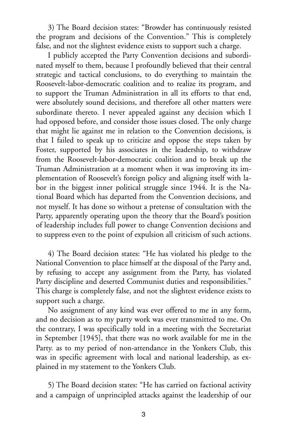3) The Board decision states: "Browder has continuously resisted the program and decisions of the Convention." This is completely false, and not the slightest evidence exists to support such a charge.

I publicly accepted the Party Convention decisions and subordinated myself to them, because I profoundly believed that their central strategic and tactical conclusions, to do everything to maintain the Roosevelt-labor-democratic coalition and to realize its program, and to support the Truman Administration in all its efforts to that end, were absolutely sound decisions, and therefore all other matters were subordinate thereto. I never appealed against any decision which I had opposed before, and consider those issues closed. The only charge that might lie against me in relation to the Convention decisions, is that I failed to speak up to criticize and oppose the steps taken by Foster, supported by his associates in the leadership, to withdraw from the Roosevelt-labor-democratic coalition and to break up the Truman Administration at a moment when it was improving its implementation of Roosevelt's foreign policy and aligning itself with labor in the biggest inner political struggle since 1944. It is the National Board which has departed from the Convention decisions, and not myself. It has done so without a pretense of consultation with the Party, apparently operating upon the theory that the Board's position of leadership includes full power to change Convention decisions and to suppress even to the point of expulsion all criticism of such actions.

4) The Board decision states: "He has violated his pledge to the National Convention to place himself at the disposal of the Party and, by refusing to accept any assignment from the Party, has violated Party discipline and deserted Communist duties and responsibilities." This charge is completely false, and not the slightest evidence exists to support such a charge.

No assignment of any kind was ever offered to me in any form, and no decision as to my party work was ever transmitted to me. On the contrary, I was specifically told in a meeting with the Secretariat in September [1945], that there was no work available for me in the Party. as to my period of non-attendance in the Yonkers Club, this was in specific agreement with local and national leadership, as explained in my statement to the Yonkers Club.

5) The Board decision states: "He has carried on factional activity and a campaign of unprincipled attacks against the leadership of our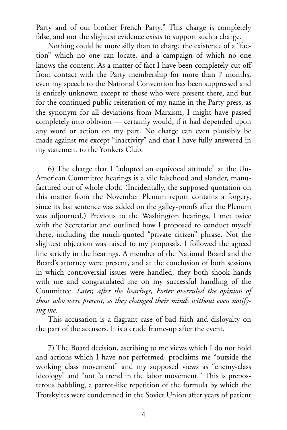Party and of our brother French Party." This charge is completely false, and not the slightest evidence exists to support such a charge.

Nothing could be more silly than to charge the existence of a "faction" which no one can locate, and a campaign of which no one knows the content. As a matter of fact I have been completely cut off from contact with the Party membership for more than 7 months, even my speech to the National Convention has been suppressed and is entirely unknown except to those who were present there, and but for the continued public reiteration of my name in the Party press, as the synonym for all deviations from Marxism, I might have passed completely into oblivion — certainly would, if it had depended upon any word or action on my part. No charge can even plausibly be made against me except "inactivity" and that I have fully answered in my statement to the Yonkers Club.

6) The charge that I "adopted an equivocal attitude" at the Un-American Committee hearings is a vile falsehood and slander, manufactured out of whole cloth. (Incidentally, the supposed quotation on this matter from the November Plenum report contains a forgery, since its last sentence was added on the galley-proofs after the Plenum was adjourned.) Previous to the Washington hearings, I met twice with the Secretariat and outlined how I proposed to conduct myself there, including the much-quoted "private citizen" phrase. Not the slightest objection was raised to my proposals. I followed the agreed line strictly in the hearings. A member of the National Board and the Board's attorney were present, and at the conclusion of both sessions in which controversial issues were handled, they both shook hands with me and congratulated me on my successful handling of the Committee. *Later, after the hearings, Foster overruled the opinion of those who were present, so they changed their minds without even notifying me.*

This accusation is a flagrant case of bad faith and disloyalty on the part of the accusers. It is a crude frame-up after the event.

7) The Board decision, ascribing to me views which I do not hold and actions which I have not performed, proclaims me "outside the working class movement" and my supposed views as "enemy-class ideology" and "not "a trend in the labor movement." This is preposterous babbling, a parrot-like repetition of the formula by which the Trotskyites were condemned in the Soviet Union after years of patient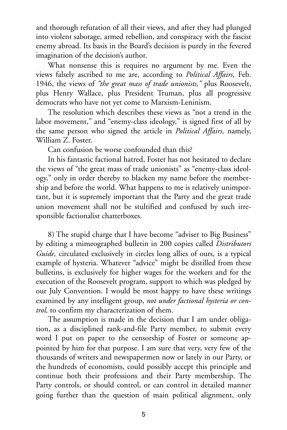and thorough refutation of all their views, and after they had plunged into violent sabotage, armed rebellion, and conspiracy with the fascist enemy abroad. Its basis in the Board's decision is purely in the fevered imagination of the decision's author.

What nonsense this is requires no argument by me. Even the views falsely ascribed to me are, according to *Political Affairs,* Feb. 1946, the views of *"the great mass of trade unionists,"* plus Roosevelt, plus Henry Wallace, plus President Truman, plus all progressive democrats who have not yet come to Marxism-Leninism.

The resolution which describes these views as "not a trend in the labor movement," and "enemy-class ideology," is signed first of all by the same person who signed the article in *Political Affairs,* namely, William Z. Foster.

Can confusion be worse confounded than this?

In his fantastic factional hatred, Foster has not hesitated to declare the views of "the great mass of trade unionists" as "enemy-class ideology," only in order thereby to blacken my name before the membership and before the world. What happens to me is relatively unimportant, but it is supremely important that the Party and the great trade union movement shall not be stultified and confused by such irresponsible factionalist chatterboxes.

8) The stupid charge that I have become "adviser to Big Business" by editing a mimeographed bulletin in 200 copies called *Distributors Guide,* circulated exclusively in circles long allies of ours, is a typical example of hysteria. Whatever "advice" might be distilled from these bulletins, is exclusively for higher wages for the workers and for the execution of the Roosevelt program, support to which was pledged by our July Convention. I would be most happy to have these writings examined by any intelligent group, *not under factional hysteria or control,* to confirm my characterization of them.

The assumption is made in the decision that I am under obligation, as a disciplined rank-and-file Party member, to submit every word I put on paper to the censorship of Foster or someone appointed by him for that purpose. I am sure that very, very few of the thousands of writers and newspapermen now or lately in our Party, or the hundreds of economists, could possibly accept this principle and continue both their professions and their Party membership. The Party controls, or should control, or can control in detailed manner going further than the question of main political alignment, only